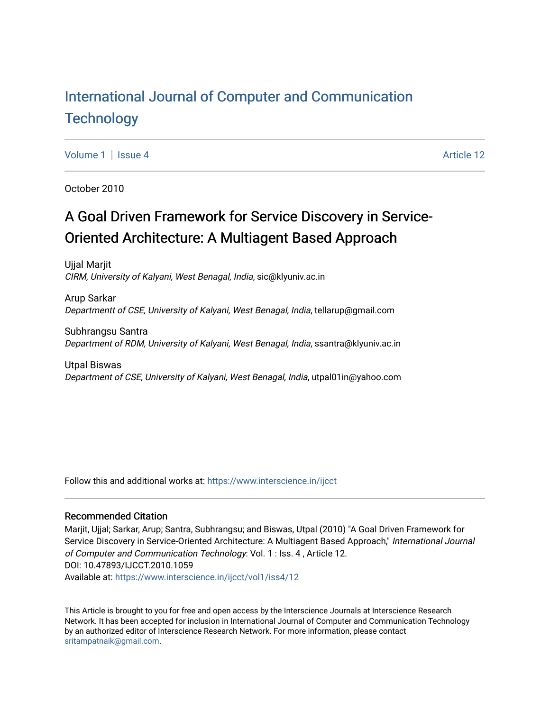# [International Journal of Computer and Communication](https://www.interscience.in/ijcct)  **Technology**

[Volume 1](https://www.interscience.in/ijcct/vol1) | [Issue 4](https://www.interscience.in/ijcct/vol1/iss4) Article 12

October 2010

# A Goal Driven Framework for Service Discovery in Service-Oriented Architecture: A Multiagent Based Approach

Ujjal Marjit CIRM, University of Kalyani, West Benagal, India, sic@klyuniv.ac.in

Arup Sarkar Departmentt of CSE, University of Kalyani, West Benagal, India, tellarup@gmail.com

Subhrangsu Santra Department of RDM, University of Kalyani, West Benagal, India, ssantra@klyuniv.ac.in

Utpal Biswas Department of CSE, University of Kalyani, West Benagal, India, utpal01in@yahoo.com

Follow this and additional works at: [https://www.interscience.in/ijcct](https://www.interscience.in/ijcct?utm_source=www.interscience.in%2Fijcct%2Fvol1%2Fiss4%2F12&utm_medium=PDF&utm_campaign=PDFCoverPages)

#### Recommended Citation

Marjit, Ujjal; Sarkar, Arup; Santra, Subhrangsu; and Biswas, Utpal (2010) "A Goal Driven Framework for Service Discovery in Service-Oriented Architecture: A Multiagent Based Approach," International Journal of Computer and Communication Technology: Vol. 1 : Iss. 4 , Article 12. DOI: 10.47893/IJCCT.2010.1059 Available at: [https://www.interscience.in/ijcct/vol1/iss4/12](https://www.interscience.in/ijcct/vol1/iss4/12?utm_source=www.interscience.in%2Fijcct%2Fvol1%2Fiss4%2F12&utm_medium=PDF&utm_campaign=PDFCoverPages) 

This Article is brought to you for free and open access by the Interscience Journals at Interscience Research Network. It has been accepted for inclusion in International Journal of Computer and Communication Technology by an authorized editor of Interscience Research Network. For more information, please contact [sritampatnaik@gmail.com](mailto:sritampatnaik@gmail.com).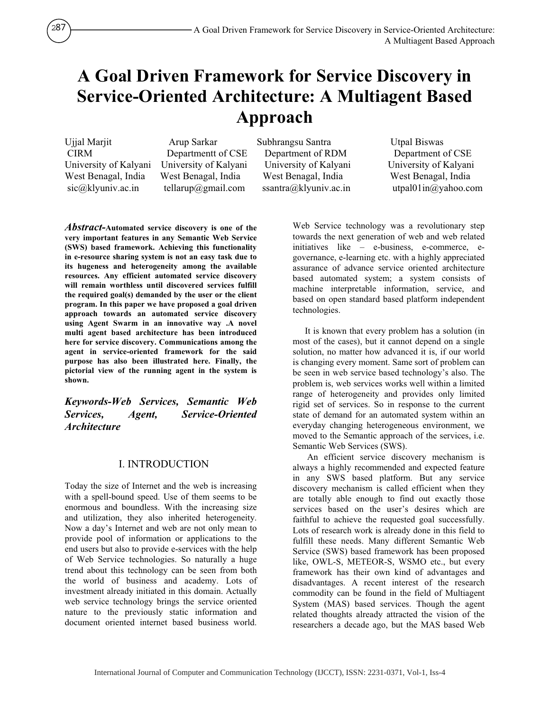# **A Goal Driven Framework for Service Discovery in Service-Oriented Architecture: A Multiagent Based Approach**

Ujjal Marjit Arup Sarkar Subhrangsu Santra Utpal Biswas

 CIRM Departmentt of CSE Department of RDM Department of CSE University of Kalyani University of Kalyani University of Kalyani University of Kalyani West Benagal, India West Benagal, India West Benagal, India West Benagal, India

sic@klyuniv.ac.in tellarup@gmail.com ssantra@klyuniv.ac.in utpal01in@yahoo.com

*Abstract-***Automated service discovery is one of the very important features in any Semantic Web Service (SWS) based framework. Achieving this functionality in e-resource sharing system is not an easy task due to its hugeness and heterogeneity among the available resources. Any efficient automated service discovery will remain worthless until discovered services fulfill the required goal(s) demanded by the user or the client program. In this paper we have proposed a goal driven approach towards an automated service discovery using Agent Swarm in an innovative way .A novel multi agent based architecture has been introduced here for service discovery. Communications among the agent in service-oriented framework for the said purpose has also been illustrated here. Finally, the pictorial view of the running agent in the system is shown.** 

*Keywords-Web Services, Semantic Web Services, Agent, Service-Oriented Architecture*

### I. INTRODUCTION

Today the size of Internet and the web is increasing with a spell-bound speed. Use of them seems to be enormous and boundless. With the increasing size and utilization, they also inherited heterogeneity. Now a day's Internet and web are not only mean to provide pool of information or applications to the end users but also to provide e-services with the help of Web Service technologies. So naturally a huge trend about this technology can be seen from both the world of business and academy. Lots of investment already initiated in this domain. Actually web service technology brings the service oriented nature to the previously static information and document oriented internet based business world.

Web Service technology was a revolutionary step towards the next generation of web and web related initiatives like – e-business, e-commerce, egovernance, e-learning etc. with a highly appreciated assurance of advance service oriented architecture based automated system; a system consists of machine interpretable information, service, and based on open standard based platform independent technologies.

It is known that every problem has a solution (in most of the cases), but it cannot depend on a single solution, no matter how advanced it is, if our world is changing every moment. Same sort of problem can be seen in web service based technology's also. The problem is, web services works well within a limited range of heterogeneity and provides only limited rigid set of services. So in response to the current state of demand for an automated system within an everyday changing heterogeneous environment, we moved to the Semantic approach of the services, i.e. Semantic Web Services (SWS).

 An efficient service discovery mechanism is always a highly recommended and expected feature in any SWS based platform. But any service discovery mechanism is called efficient when they are totally able enough to find out exactly those services based on the user's desires which are faithful to achieve the requested goal successfully. Lots of research work is already done in this field to fulfill these needs. Many different Semantic Web Service (SWS) based framework has been proposed like, OWL-S, METEOR-S, WSMO etc., but every framework has their own kind of advantages and disadvantages. A recent interest of the research commodity can be found in the field of Multiagent System (MAS) based services. Though the agent related thoughts already attracted the vision of the researchers a decade ago, but the MAS based Web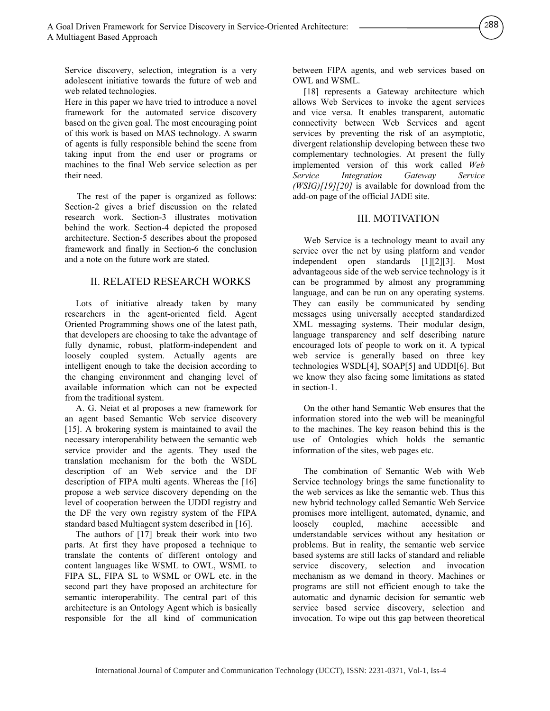Service discovery, selection, integration is a very adolescent initiative towards the future of web and web related technologies.

Here in this paper we have tried to introduce a novel framework for the automated service discovery based on the given goal. The most encouraging point of this work is based on MAS technology. A swarm of agents is fully responsible behind the scene from taking input from the end user or programs or machines to the final Web service selection as per their need.

The rest of the paper is organized as follows: Section-2 gives a brief discussion on the related research work. Section-3 illustrates motivation behind the work. Section-4 depicted the proposed architecture. Section-5 describes about the proposed framework and finally in Section-6 the conclusion and a note on the future work are stated.

#### II. RELATED RESEARCH WORKS

Lots of initiative already taken by many researchers in the agent-oriented field. Agent Oriented Programming shows one of the latest path, that developers are choosing to take the advantage of fully dynamic, robust, platform-independent and loosely coupled system. Actually agents are intelligent enough to take the decision according to the changing environment and changing level of available information which can not be expected from the traditional system.

A. G. Neiat et al proposes a new framework for an agent based Semantic Web service discovery [15]. A brokering system is maintained to avail the necessary interoperability between the semantic web service provider and the agents. They used the translation mechanism for the both the WSDL description of an Web service and the DF description of FIPA multi agents. Whereas the [16] propose a web service discovery depending on the level of cooperation between the UDDI registry and the DF the very own registry system of the FIPA standard based Multiagent system described in [16].

The authors of [17] break their work into two parts. At first they have proposed a technique to translate the contents of different ontology and content languages like WSML to OWL, WSML to FIPA SL, FIPA SL to WSML or OWL etc. in the second part they have proposed an architecture for semantic interoperability. The central part of this architecture is an Ontology Agent which is basically responsible for the all kind of communication between FIPA agents, and web services based on OWL and WSML.

288

[18] represents a Gateway architecture which allows Web Services to invoke the agent services and vice versa. It enables transparent, automatic connectivity between Web Services and agent services by preventing the risk of an asymptotic, divergent relationship developing between these two complementary technologies. At present the fully implemented version of this work called *Web*  $(WSIG)[19][20]$  is available for download from the add-on page of the official IADF site add-on page of the official JADE site.

#### III. MOTIVATION

Web Service is a technology meant to avail any service over the net by using platform and vendor independent open standards [1][2][3]. Most advantageous side of the web service technology is it can be programmed by almost any programming language, and can be run on any operating systems. They can easily be communicated by sending messages using universally accepted standardized XML messaging systems. Their modular design, language transparency and self describing nature encouraged lots of people to work on it. A typical web service is generally based on three key technologies WSDL[4], SOAP[5] and UDDI[6]. But we know they also facing some limitations as stated in section-1.

On the other hand Semantic Web ensures that the information stored into the web will be meaningful to the machines. The key reason behind this is the use of Ontologies which holds the semantic information of the sites, web pages etc.

The combination of Semantic Web with Web Service technology brings the same functionality to the web services as like the semantic web. Thus this new hybrid technology called Semantic Web Service promises more intelligent, automated, dynamic, and loosely coupled, machine accessible and understandable services without any hesitation or problems. But in reality, the semantic web service based systems are still lacks of standard and reliable service discovery, selection and invocation mechanism as we demand in theory. Machines or programs are still not efficient enough to take the automatic and dynamic decision for semantic web service based service discovery, selection and invocation. To wipe out this gap between theoretical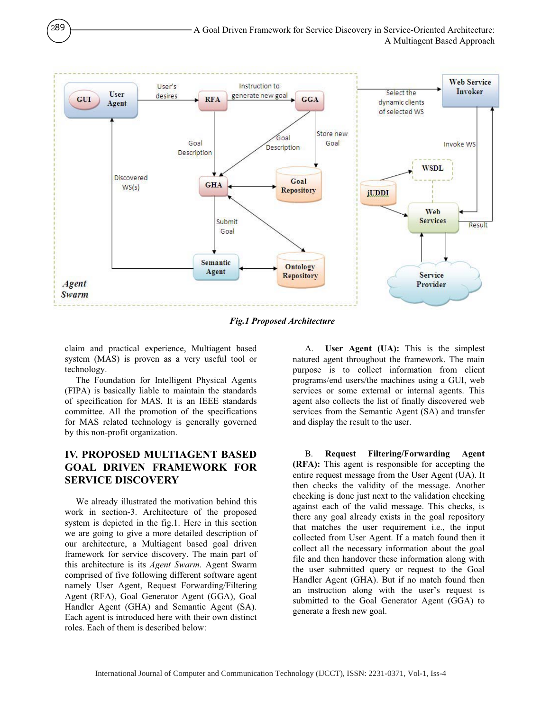

*Fig.1 Proposed Architecture* 

claim and practical experience, Multiagent based system (MAS) is proven as a very useful tool or technology.

289

The Foundation for Intelligent Physical Agents (FIPA) is basically liable to maintain the standards of specification for MAS. It is an IEEE standards committee. All the promotion of the specifications for MAS related technology is generally governed by this non-profit organization.

## **IV. PROPOSED MULTIAGENT BASED GOAL DRIVEN FRAMEWORK FOR SERVICE DISCOVERY**

We already illustrated the motivation behind this work in section-3. Architecture of the proposed system is depicted in the fig.1. Here in this section we are going to give a more detailed description of our architecture, a Multiagent based goal driven framework for service discovery. The main part of this architecture is its *Agent Swarm*. Agent Swarm comprised of five following different software agent namely User Agent, Request Forwarding/Filtering Agent (RFA), Goal Generator Agent (GGA), Goal Handler Agent (GHA) and Semantic Agent (SA). Each agent is introduced here with their own distinct roles. Each of them is described below:

A. **User Agent (UA):** This is the simplest natured agent throughout the framework. The main purpose is to collect information from client programs/end users/the machines using a GUI, web services or some external or internal agents. This agent also collects the list of finally discovered web services from the Semantic Agent (SA) and transfer and display the result to the user.

B. **Request Filtering/Forwarding Agent (RFA):** This agent is responsible for accepting the entire request message from the User Agent (UA). It then checks the validity of the message. Another checking is done just next to the validation checking against each of the valid message. This checks, is there any goal already exists in the goal repository that matches the user requirement i.e., the input collected from User Agent. If a match found then it collect all the necessary information about the goal file and then handover these information along with the user submitted query or request to the Goal Handler Agent (GHA). But if no match found then an instruction along with the user's request is submitted to the Goal Generator Agent (GGA) to generate a fresh new goal.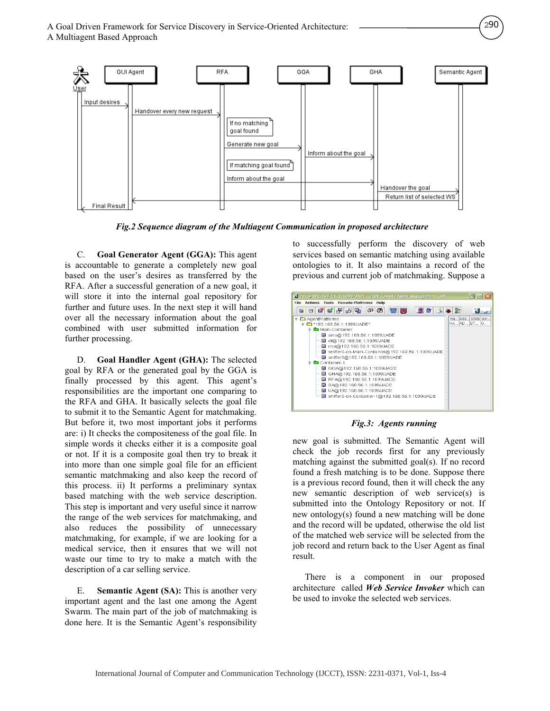

*Fig.2 Sequence diagram of the Multiagent Communication in proposed architecture* 

C. **Goal Generator Agent (GGA):** This agent is accountable to generate a completely new goal based on the user's desires as transferred by the RFA. After a successful generation of a new goal, it will store it into the internal goal repository for further and future uses. In the next step it will hand over all the necessary information about the goal combined with user submitted information for further processing.

D. **Goal Handler Agent (GHA):** The selected goal by RFA or the generated goal by the GGA is finally processed by this agent. This agent's responsibilities are the important one comparing to the RFA and GHA. It basically selects the goal file to submit it to the Semantic Agent for matchmaking. But before it, two most important jobs it performs are: i) It checks the compositeness of the goal file. In simple words it checks either it is a composite goal or not. If it is a composite goal then try to break it into more than one simple goal file for an efficient semantic matchmaking and also keep the record of this process. ii) It performs a preliminary syntax based matching with the web service description. This step is important and very useful since it narrow the range of the web services for matchmaking, and also reduces the possibility of unnecessary matchmaking, for example, if we are looking for a medical service, then it ensures that we will not waste our time to try to make a match with the description of a car selling service.

E. **Semantic Agent (SA):** This is another very important agent and the last one among the Agent Swarm. The main part of the job of matchmaking is done here. It is the Semantic Agent's responsibility to successfully perform the discovery of web services based on semantic matching using available ontologies to it. It also maintains a record of the previous and current job of matchmaking. Suppose a

290



*Fig.3: Agents running*

new goal is submitted. The Semantic Agent will check the job records first for any previously matching against the submitted goal(s). If no record found a fresh matching is to be done. Suppose there is a previous record found, then it will check the any new semantic description of web service(s) is submitted into the Ontology Repository or not. If new ontology(s) found a new matching will be done and the record will be updated, otherwise the old list of the matched web service will be selected from the job record and return back to the User Agent as final result.

There is a component in our proposed architecture called *Web Service Invoker* which can be used to invoke the selected web services.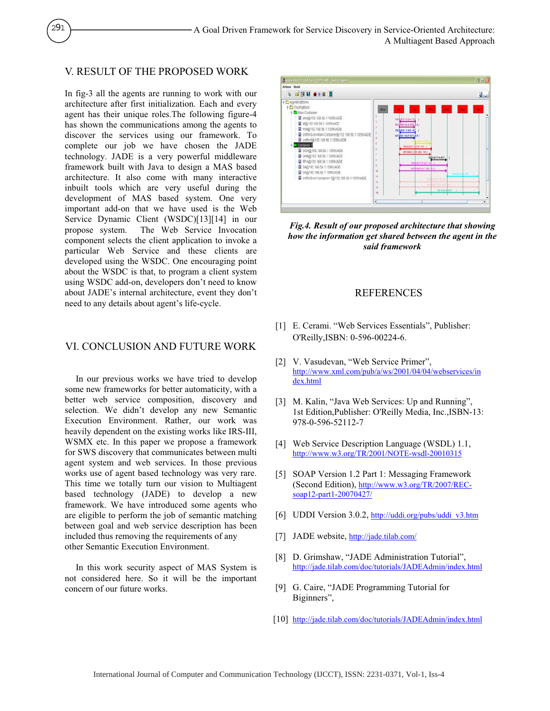#### V. RESULT OF THE PROPOSED WORK

291

In fig-3 all the agents are running to work with our architecture after first initialization. Each and every agent has their unique roles.The following figure-4 has shown the communications among the agents to discover the services using our framework. To complete our job we have chosen the JADE technology. JADE is a very powerful middleware framework built with Java to design a MAS based architecture. It also come with many interactive inbuilt tools which are very useful during the development of MAS based system. One very important add-on that we have used is the Web Service Dynamic Client (WSDC)[13][14] in our propose system. The Web Service Invocation component selects the client application to invoke a particular Web Service and these clients are developed using the WSDC. One encouraging point about the WSDC is that, to program a client system using WSDC add-on, developers don't need to know about JADE's internal architecture, event they don't need to any details about agent's life-cycle.

#### VI. CONCLUSION AND FUTURE WORK

In our previous works we have tried to develop some new frameworks for better automaticity, with a better web service composition, discovery and selection. We didn't develop any new Semantic Execution Environment. Rather, our work was heavily dependent on the existing works like IRS-III, WSMX etc. In this paper we propose a framework for SWS discovery that communicates between multi agent system and web services. In those previous works use of agent based technology was very rare. This time we totally turn our vision to Multiagent based technology (JADE) to develop a new framework. We have introduced some agents who are eligible to perform the job of semantic matching between goal and web service description has been included thus removing the requirements of any other Semantic Execution Environment.

In this work security aspect of MAS System is not considered here. So it will be the important concern of our future works.



*Fig.4. Result of our proposed architecture that showing how the information get shared between the agent in the said framework*

#### REFERENCES

- [1] E. Cerami. "Web Services Essentials", Publisher: O'Reilly,ISBN: 0-596-00224-6.
- [2] V. Vasudevan, "Web Service Primer", http://www.xml.com/pub/a/ws/2001/04/04/webservices/in dex.html
- [3] M. Kalin, "Java Web Services: Up and Running", 1st Edition,Publisher: O'Reilly Media, Inc.,ISBN-13: 978-0-596-52112-7
- [4] Web Service Description Language (WSDL) 1.1, http://www.w3.org/TR/2001/NOTE-wsdl-20010315
- [5] SOAP Version 1.2 Part 1: Messaging Framework (Second Edition), http://www.w3.org/TR/2007/RECsoap12-part1-20070427/
- [6] UDDI Version 3.0.2, http://uddi.org/pubs/uddi\_v3.htm
- [7] JADE website, http://jade.tilab.com/
- [8] D. Grimshaw, "JADE Administration Tutorial", http://jade.tilab.com/doc/tutorials/JADEAdmin/index.html
- [9] G. Caire, "JADE Programming Tutorial for Biginners",
- [10] http://jade.tilab.com/doc/tutorials/JADEAdmin/index.html